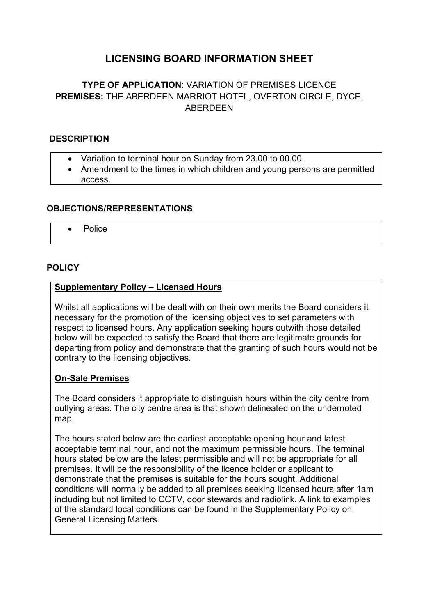# **LICENSING BOARD INFORMATION SHEET**

## **TYPE OF APPLICATION**: VARIATION OF PREMISES LICENCE **PREMISES:** THE ABERDEEN MARRIOT HOTEL, OVERTON CIRCLE, DYCE, ABERDEEN

#### **DESCRIPTION**

- Variation to terminal hour on Sunday from 23.00 to 00.00.
- Amendment to the times in which children and young persons are permitted access.

#### **OBJECTIONS/REPRESENTATIONS**

Police

#### **POLICY**

#### **Supplementary Policy – Licensed Hours**

Whilst all applications will be dealt with on their own merits the Board considers it necessary for the promotion of the licensing objectives to set parameters with respect to licensed hours. Any application seeking hours outwith those detailed below will be expected to satisfy the Board that there are legitimate grounds for departing from policy and demonstrate that the granting of such hours would not be contrary to the licensing objectives.

#### **On-Sale Premises**

The Board considers it appropriate to distinguish hours within the city centre from outlying areas. The city centre area is that shown delineated on the undernoted map.

The hours stated below are the earliest acceptable opening hour and latest acceptable terminal hour, and not the maximum permissible hours. The terminal hours stated below are the latest permissible and will not be appropriate for all premises. It will be the responsibility of the licence holder or applicant to demonstrate that the premises is suitable for the hours sought. Additional conditions will normally be added to all premises seeking licensed hours after 1am including but not limited to CCTV, door stewards and radiolink. A link to examples of the standard local conditions can be found in the Supplementary Policy on General Licensing Matters.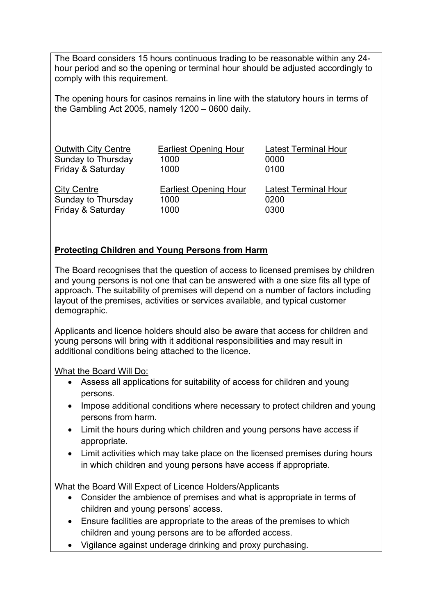The Board considers 15 hours continuous trading to be reasonable within any 24 hour period and so the opening or terminal hour should be adjusted accordingly to comply with this requirement.

The opening hours for casinos remains in line with the statutory hours in terms of the Gambling Act 2005, namely 1200 – 0600 daily.

| <b>Outwith City Centre</b> | <b>Earliest Opening Hour</b> | <b>Latest Terminal Hour</b> |
|----------------------------|------------------------------|-----------------------------|
| Sunday to Thursday         | 1000                         | 0000                        |
| Friday & Saturday          | 1000                         | 0100                        |
| <b>City Centre</b>         | <b>Earliest Opening Hour</b> | <b>Latest Terminal Hour</b> |
| Sunday to Thursday         | 1000                         | 0200                        |
| Friday & Saturday          | 1000                         | 0300                        |

### **Protecting Children and Young Persons from Harm**

The Board recognises that the question of access to licensed premises by children and young persons is not one that can be answered with a one size fits all type of approach. The suitability of premises will depend on a number of factors including layout of the premises, activities or services available, and typical customer demographic.

Applicants and licence holders should also be aware that access for children and young persons will bring with it additional responsibilities and may result in additional conditions being attached to the licence.

What the Board Will Do:

- Assess all applications for suitability of access for children and young persons.
- Impose additional conditions where necessary to protect children and young persons from harm.
- Limit the hours during which children and young persons have access if appropriate.
- Limit activities which may take place on the licensed premises during hours in which children and young persons have access if appropriate.

What the Board Will Expect of Licence Holders/Applicants

- Consider the ambience of premises and what is appropriate in terms of children and young persons' access.
- Ensure facilities are appropriate to the areas of the premises to which children and young persons are to be afforded access.
- Vigilance against underage drinking and proxy purchasing.